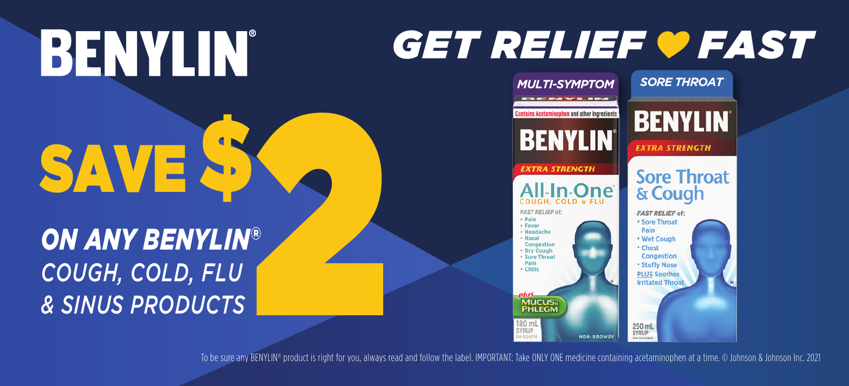## **BENYLIN**® SAVE **\$**

## *ON ANY BENYLIN® COUGH, COLD, FLU & SINUS PRODUCTS*

## *GET RELIEF FAST*



To be sure any BENYLIN® product is right for you, always read and follow the label. IMPORTANT: Take ONLY ONE medicine containing acetaminophen at a time. © Johnson & Johnson Inc. 2021